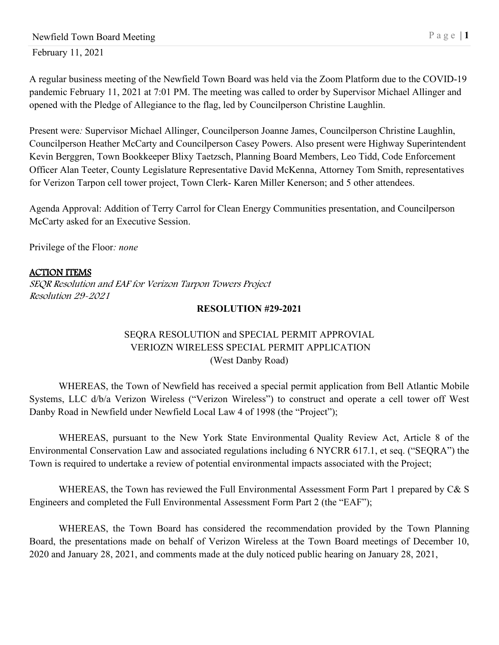A regular business meeting of the Newfield Town Board was held via the Zoom Platform due to the COVID-19 pandemic February 11, 2021 at 7:01 PM. The meeting was called to order by Supervisor Michael Allinger and opened with the Pledge of Allegiance to the flag, led by Councilperson Christine Laughlin.

Present were*:* Supervisor Michael Allinger, Councilperson Joanne James, Councilperson Christine Laughlin, Councilperson Heather McCarty and Councilperson Casey Powers. Also present were Highway Superintendent Kevin Berggren, Town Bookkeeper Blixy Taetzsch, Planning Board Members, Leo Tidd, Code Enforcement Officer Alan Teeter, County Legislature Representative David McKenna, Attorney Tom Smith, representatives for Verizon Tarpon cell tower project, Town Clerk- Karen Miller Kenerson; and 5 other attendees.

Agenda Approval: Addition of Terry Carrol for Clean Energy Communities presentation, and Councilperson McCarty asked for an Executive Session.

Privilege of the Floor*: none*

#### ACTION ITEMS

SEQR Resolution and EAF for Verizon Tarpon Towers Project Resolution 29-2021

#### **RESOLUTION #29-2021**

## SEQRA RESOLUTION and SPECIAL PERMIT APPROVIAL VERIOZN WIRELESS SPECIAL PERMIT APPLICATION (West Danby Road)

WHEREAS, the Town of Newfield has received a special permit application from Bell Atlantic Mobile Systems, LLC d/b/a Verizon Wireless ("Verizon Wireless") to construct and operate a cell tower off West Danby Road in Newfield under Newfield Local Law 4 of 1998 (the "Project");

WHEREAS, pursuant to the New York State Environmental Quality Review Act, Article 8 of the Environmental Conservation Law and associated regulations including 6 NYCRR 617.1, et seq. ("SEQRA") the Town is required to undertake a review of potential environmental impacts associated with the Project;

WHEREAS, the Town has reviewed the Full Environmental Assessment Form Part 1 prepared by C& S Engineers and completed the Full Environmental Assessment Form Part 2 (the "EAF");

WHEREAS, the Town Board has considered the recommendation provided by the Town Planning Board, the presentations made on behalf of Verizon Wireless at the Town Board meetings of December 10, 2020 and January 28, 2021, and comments made at the duly noticed public hearing on January 28, 2021,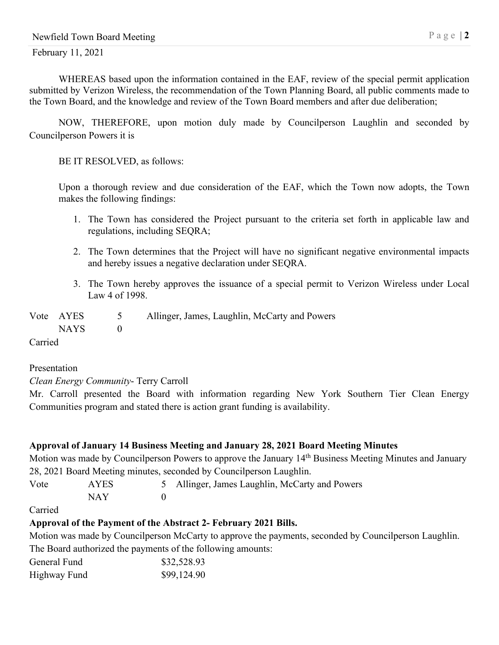WHEREAS based upon the information contained in the EAF, review of the special permit application submitted by Verizon Wireless, the recommendation of the Town Planning Board, all public comments made to the Town Board, and the knowledge and review of the Town Board members and after due deliberation;

NOW, THEREFORE, upon motion duly made by Councilperson Laughlin and seconded by Councilperson Powers it is

BE IT RESOLVED, as follows:

Upon a thorough review and due consideration of the EAF, which the Town now adopts, the Town makes the following findings:

- 1. The Town has considered the Project pursuant to the criteria set forth in applicable law and regulations, including SEQRA;
- 2. The Town determines that the Project will have no significant negative environmental impacts and hereby issues a negative declaration under SEQRA.
- 3. The Town hereby approves the issuance of a special permit to Verizon Wireless under Local Law 4 of 1998.

| Vote AYES | Allinger, James, Laughlin, McCarty and Powers |
|-----------|-----------------------------------------------|
| NAYS 1    |                                               |

Carried

#### Presentation

*Clean Energy Community*- Terry Carroll

Mr. Carroll presented the Board with information regarding New York Southern Tier Clean Energy Communities program and stated there is action grant funding is availability.

## **Approval of January 14 Business Meeting and January 28, 2021 Board Meeting Minutes**

Motion was made by Councilperson Powers to approve the January 14th Business Meeting Minutes and January 28, 2021 Board Meeting minutes, seconded by Councilperson Laughlin.

| Vote | <b>AYES</b> | 5 Allinger, James Laughlin, McCarty and Powers |
|------|-------------|------------------------------------------------|
|      | NAY         |                                                |

Carried

## **Approval of the Payment of the Abstract 2- February 2021 Bills.**

Motion was made by Councilperson McCarty to approve the payments, seconded by Councilperson Laughlin. The Board authorized the payments of the following amounts:

| General Fund | \$32,528.93 |
|--------------|-------------|
| Highway Fund | \$99,124.90 |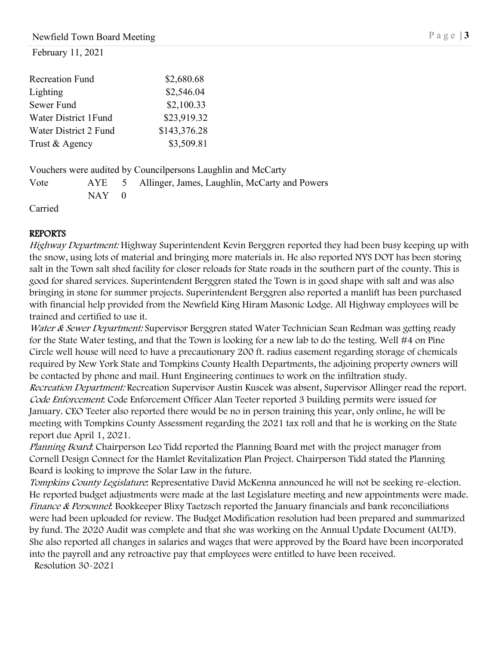February 11, 2021

| <b>Recreation Fund</b> | \$2,680.68   |
|------------------------|--------------|
| Lighting               | \$2,546.04   |
| Sewer Fund             | \$2,100.33   |
| Water District 1 Fund  | \$23,919.32  |
| Water District 2 Fund  | \$143,376.28 |
| Trust & Agency         | \$3,509.81   |

Vouchers were audited by Councilpersons Laughlin and McCarty

Vote AYE 5 Allinger, James, Laughlin, McCarty and Powers  $NAY$  0

Carried

## REPORTS

Highway Department: Highway Superintendent Kevin Berggren reported they had been busy keeping up with the snow, using lots of material and bringing more materials in. He also reported NYS DOT has been storing salt in the Town salt shed facility for closer reloads for State roads in the southern part of the county. This is good for shared services. Superintendent Berggren stated the Town is in good shape with salt and was also bringing in stone for summer projects. Superintendent Berggren also reported a manlift has been purchased with financial help provided from the Newfield King Hiram Masonic Lodge. All Highway employees will be trained and certified to use it.

Water & Sewer Department: Supervisor Berggren stated Water Technician Sean Redman was getting ready for the State Water testing, and that the Town is looking for a new lab to do the testing. Well #4 on Pine Circle well house will need to have a precautionary 200 ft. radius easement regarding storage of chemicals required by New York State and Tompkins County Health Departments, the adjoining property owners will be contacted by phone and mail. Hunt Engineering continues to work on the infiltration study.

Recreation Department: Recreation Supervisor Austin Kuscek was absent, Supervisor Allinger read the report. Code Enforcement: Code Enforcement Officer Alan Teeter reported 3 building permits were issued for January. CEO Teeter also reported there would be no in person training this year, only online, he will be meeting with Tompkins County Assessment regarding the 2021 tax roll and that he is working on the State report due April 1, 2021.

Planning Board: Chairperson Leo Tidd reported the Planning Board met with the project manager from Cornell Design Connect for the Hamlet Revitalization Plan Project. Chairperson Tidd stated the Planning Board is looking to improve the Solar Law in the future.

Tompkins County Legislature: Representative David McKenna announced he will not be seeking re-election. He reported budget adjustments were made at the last Legislature meeting and new appointments were made. Finance & Personnel: Bookkeeper Blixy Taetzsch reported the January financials and bank reconciliations were had been uploaded for review. The Budget Modification resolution had been prepared and summarized by fund. The 2020 Audit was complete and that she was working on the Annual Update Document (AUD). She also reported all changes in salaries and wages that were approved by the Board have been incorporated into the payroll and any retroactive pay that employees were entitled to have been received. Resolution 30-2021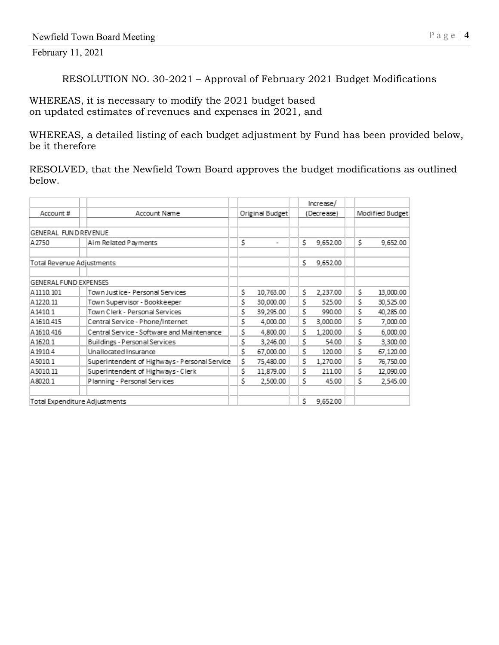#### February 11, 2021

RESOLUTION NO. 30-2021 – Approval of February 2021 Budget Modifications

WHEREAS, it is necessary to modify the 2021 budget based on updated estimates of revenues and expenses in 2021, and

WHEREAS, a detailed listing of each budget adjustment by Fund has been provided below, be it therefore

RESOLVED, that the Newfield Town Board approves the budget modifications as outlined below.

|                              |                                               |                      |     | Increase/  |                 |           |
|------------------------------|-----------------------------------------------|----------------------|-----|------------|-----------------|-----------|
| Account #                    | Account Name                                  | Original Budget      |     | (Decrease) | Modified Budget |           |
|                              |                                               |                      |     |            |                 |           |
| GENERAL FUNDREVENUE          |                                               |                      |     |            |                 |           |
| A 2750                       | Aim Related Payments                          | \$<br>$\blacksquare$ | \$. | 9,652.00   | \$              | 9,652.00  |
|                              |                                               |                      |     |            |                 |           |
| Total Revenue Adjustments    |                                               |                      | Ś.  | 9,652.00   |                 |           |
|                              |                                               |                      |     |            |                 |           |
| <b>GENERAL FUND EXPENSES</b> |                                               |                      |     |            |                 |           |
| A1110.101                    | Town Justice - Personal Services              | \$<br>10,763.00      | Ś.  | 2,237.00   | \$              | 13,000.00 |
| A 1220.11                    | Town Supervisor - Bookkeeper                  | \$<br>30,000.00      | Ś.  | 525.00     | \$              | 30,525.00 |
| A1410.1                      | Town Clerk - Personal Services                | \$<br>39,295.00      | \$  | 990.00     | \$              | 40,285.00 |
| A 1610.415                   | Central Service - Phone/Internet              | \$<br>4,000.00       | \$  | 3,000.00   | \$              | 7,000.00  |
| A1610.416                    | Central Service - Software and Maintenance    | \$<br>4,800.00       | \$  | 1,200.00   | \$              | 6,000.00  |
| A1620.1                      | Buildings - Personal Services                 | \$<br>3,246.00       | Ś.  | 54.00      | \$              | 3,300.00  |
| A1910.4                      | Unallocated Insurance                         | \$<br>67,000.00      | \$  | 120.00     | \$              | 67,120.00 |
| A5010.1                      | Superintendent of Highways - Personal Service | \$<br>75,480.00      | \$  | 1,270.00   | \$              | 76,750.00 |
| A5010.11                     | Superintendent of Highways - Clerk            | \$<br>11,879.00      | Ś.  | 211.00     | \$              | 12,090.00 |
| A8020.1                      | Planning - Personal Services                  | \$<br>2.500.00       | Ś   | 45.00      | \$              | 2,545.00  |
|                              | Total Expenditure Adjustments                 |                      | \$  | 9,652.00   |                 |           |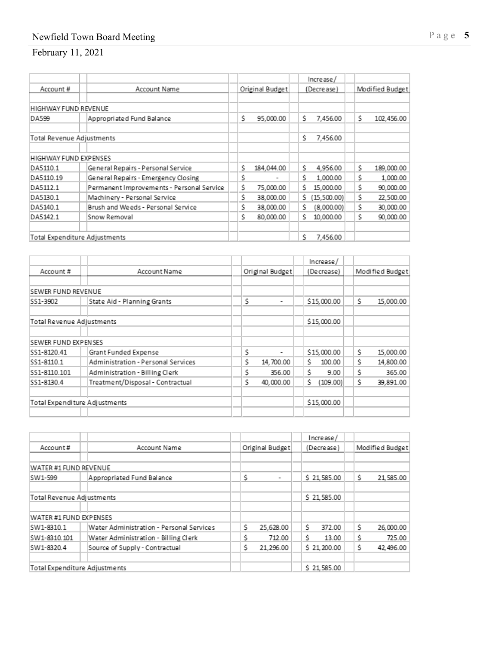## Newfield Town Board Meeting Page |

# February 11, 2021

|                               |                                           |    |                 |    | Increase/   |    |                 |
|-------------------------------|-------------------------------------------|----|-----------------|----|-------------|----|-----------------|
| Account#                      | Account Name                              |    | Original Budget |    | (Decrease)  |    | Modified Budget |
|                               |                                           |    |                 |    |             |    |                 |
| HIGHWAY FUND REVENUE          |                                           |    |                 |    |             |    |                 |
| DA599                         | Appropriated Fund Balance                 | Ś. | 95,000.00       | Ś. | 7,456.00    | Ś. | 102,456.00      |
| Total Revenue Adjustments     |                                           |    |                 | Ś. | 7,456.00    |    |                 |
| HIGHWAY FUND EXPENSES         |                                           |    |                 |    |             |    |                 |
| DA5110.1                      | General Repairs - Personal Service        | Ś. | 184,044.00      | Ś. | 4,956.00    | Ś. | 189,000.00      |
| DA5110.19                     | General Repairs - Emergency Closing       | Ś. |                 | Ś. | 1.000.00    | Ś. | 1,000.00        |
| DA5112.1                      | Permanent Improvements - Personal Service | Ś. | 75,000.00       | Ś. | 15,000.00   | Ś. | 90,000.00       |
| DA5130.1                      | Machinery - Personal Service              | Ś. | 38,000.00       | Ś. | (15,500.00) | Ś. | 22,500.00       |
| DA5140.1                      | Brush and Weeds - Personal Service        | Ś. | 38,000.00       | Ś. | (8,000.00)  | Ś. | 30,000.00       |
| DA5142.1                      | Snow Removal                              | Ś. | 80,000.00       | Ś. | 10,000.00   | Ś. | 90,000.00       |
| Total Expenditure Adjustments |                                           |    |                 | Ŝ. | 7.456.00    |    |                 |

|                           |                                    |                 |                          | Increase/      |                 |           |  |
|---------------------------|------------------------------------|-----------------|--------------------------|----------------|-----------------|-----------|--|
| Account#                  | Account Name                       | Original Budget |                          | (Decrease)     | Modified Budget |           |  |
| <b>SEWER FUND REVENUE</b> |                                    |                 |                          |                |                 |           |  |
| SS1-3902                  | State Aid - Planning Grants        | Ś               | $\overline{\phantom{a}}$ | \$15,000.00    | Ŝ.              | 15,000.00 |  |
| Total Revenue Adjustments |                                    |                 |                          | \$15,000.00    |                 |           |  |
| SEWER FUND EXPENSES       |                                    |                 |                          |                |                 |           |  |
| SS1-8120.41               | Grant Funded Expense               | Ś               | ۰                        | \$15,000.00    | Ś.              | 15,000.00 |  |
| SS1-8110.1                | Administration - Personal Services | Ś.              | 14,700.00                | Ś.<br>100.00   | Ś.              | 14,800.00 |  |
| SS1-8110.101              | Administration - Billing Clerk     | Ś               | 356.00                   | Ŝ.<br>9.00     | Ś               | 365.00    |  |
| SS1-8130.4                | Treatment/Disposal - Contractual   | Ś               | 40,000.00                | Ś.<br>(109.00) | Ś.              | 39,891.00 |  |
|                           | Total Expenditure Adjustments      |                 |                          | \$15,000.00    |                 |           |  |

|                               |                                          |                     | Increase/    |                 |
|-------------------------------|------------------------------------------|---------------------|--------------|-----------------|
| Account#                      | Account Name                             | Original Budget     | (Decrease)   | Modified Budget |
|                               |                                          |                     |              |                 |
| WATER #1 FUND REVENUE         |                                          |                     |              |                 |
| SW1-599                       | Appropriated Fund Balance                | Ŝ<br>$\blacksquare$ | \$21,585.00  | Ŝ.<br>21,585.00 |
|                               |                                          |                     |              |                 |
| Total Revenue Adjustments     |                                          |                     | \$21,585.00  |                 |
|                               |                                          |                     |              |                 |
| WATER #1 FUND EXPENSES        |                                          |                     |              |                 |
| SW1-8310.1                    | Water Administration - Personal Services | 25,628.00<br>s      | 372.00<br>Ŝ. | 26,000.00<br>Ŝ. |
| SW1-8310.101                  | Water Administration - Billing Clerk     | 712.00              | ς<br>13.00   | 725.00          |
| SW1-8320.4                    | Source of Supply - Contractual           | s<br>21,296.00      | \$21,200.00  | 42,496.00<br>Ś. |
|                               |                                          |                     |              |                 |
| Total Expenditure Adjustments |                                          |                     | \$21,585.00  |                 |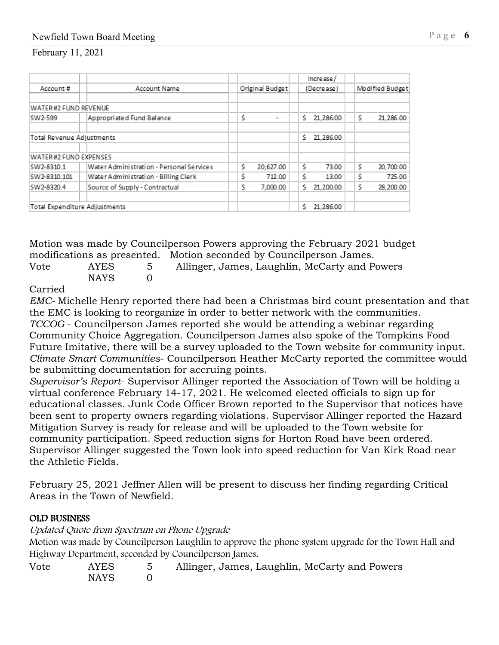## Newfield Town Board Meeting Page | 6

February 11, 2021

|                               |                                          |  |    |                 |    | Increase/  |    |                 |
|-------------------------------|------------------------------------------|--|----|-----------------|----|------------|----|-----------------|
| Account#                      | Account Name                             |  |    | Original Budget |    | (Decrease) |    | Modified Budget |
|                               |                                          |  |    |                 |    |            |    |                 |
| WATER#2 FUND REVENUE          |                                          |  |    |                 |    |            |    |                 |
| SW2-599                       | Appropriated Fund Balance                |  | Ś  | ۰               | Ś. | 21,286.00  | Ś  | 21,286.00       |
|                               |                                          |  |    |                 |    |            |    |                 |
|                               | Total Revenue Adjustments                |  |    |                 | Ś. | 21.286.00  |    |                 |
|                               |                                          |  |    |                 |    |            |    |                 |
| WATER#2 FUND EXPENSES         |                                          |  |    |                 |    |            |    |                 |
| SW2-8310.1                    | Water Administration - Personal Services |  | Ś. | 20,627.00       | Ś  | 73.00      | Ś. | 20,700.00       |
| SW2-8310.101                  | Water Administration - Billing Clerk     |  | Ś  | 712.00          | Ś. | 13.00      | Ś  | 725.00          |
| SW2-8320.4                    | Source of Supply - Contractual           |  | Ś  | 7,000.00        | Ś. | 21,200.00  | Ś. | 28,200.00       |
|                               |                                          |  |    |                 |    |            |    |                 |
| Total Expenditure Adjustments |                                          |  |    |                 | Ŝ. | 21,286.00  |    |                 |

Motion was made by Councilperson Powers approving the February 2021 budget modifications as presented. Motion seconded by Councilperson James.

| Vote | AYES<br>NAYS | Allinger, James, Laughlin, McCarty and Powers |
|------|--------------|-----------------------------------------------|
|      |              |                                               |

#### Carried

*EMC-* Michelle Henry reported there had been a Christmas bird count presentation and that the EMC is looking to reorganize in order to better network with the communities. *TCCOG* - Councilperson James reported she would be attending a webinar regarding Community Choice Aggregation. Councilperson James also spoke of the Tompkins Food Future Imitative, there will be a survey uploaded to the Town website for community input. *Climate Smart Communities*- Councilperson Heather McCarty reported the committee would be submitting documentation for accruing points.

*Supervisor's Report*- Supervisor Allinger reported the Association of Town will be holding a virtual conference February 14-17, 2021. He welcomed elected officials to sign up for educational classes. Junk Code Officer Brown reported to the Supervisor that notices have been sent to property owners regarding violations. Supervisor Allinger reported the Hazard Mitigation Survey is ready for release and will be uploaded to the Town website for community participation. Speed reduction signs for Horton Road have been ordered. Supervisor Allinger suggested the Town look into speed reduction for Van Kirk Road near the Athletic Fields.

February 25, 2021 Jeffner Allen will be present to discuss her finding regarding Critical Areas in the Town of Newfield.

#### OLD BUSINESS

Updated Quote from Spectrum on Phone Upgrade

Motion was made by Councilperson Laughlin to approve the phone system upgrade for the Town Hall and Highway Department, seconded by Councilperson James.

| Vote | AYES | 5 Allinger, James, Laughlin, McCarty and Powers |
|------|------|-------------------------------------------------|
|      | NAYS |                                                 |